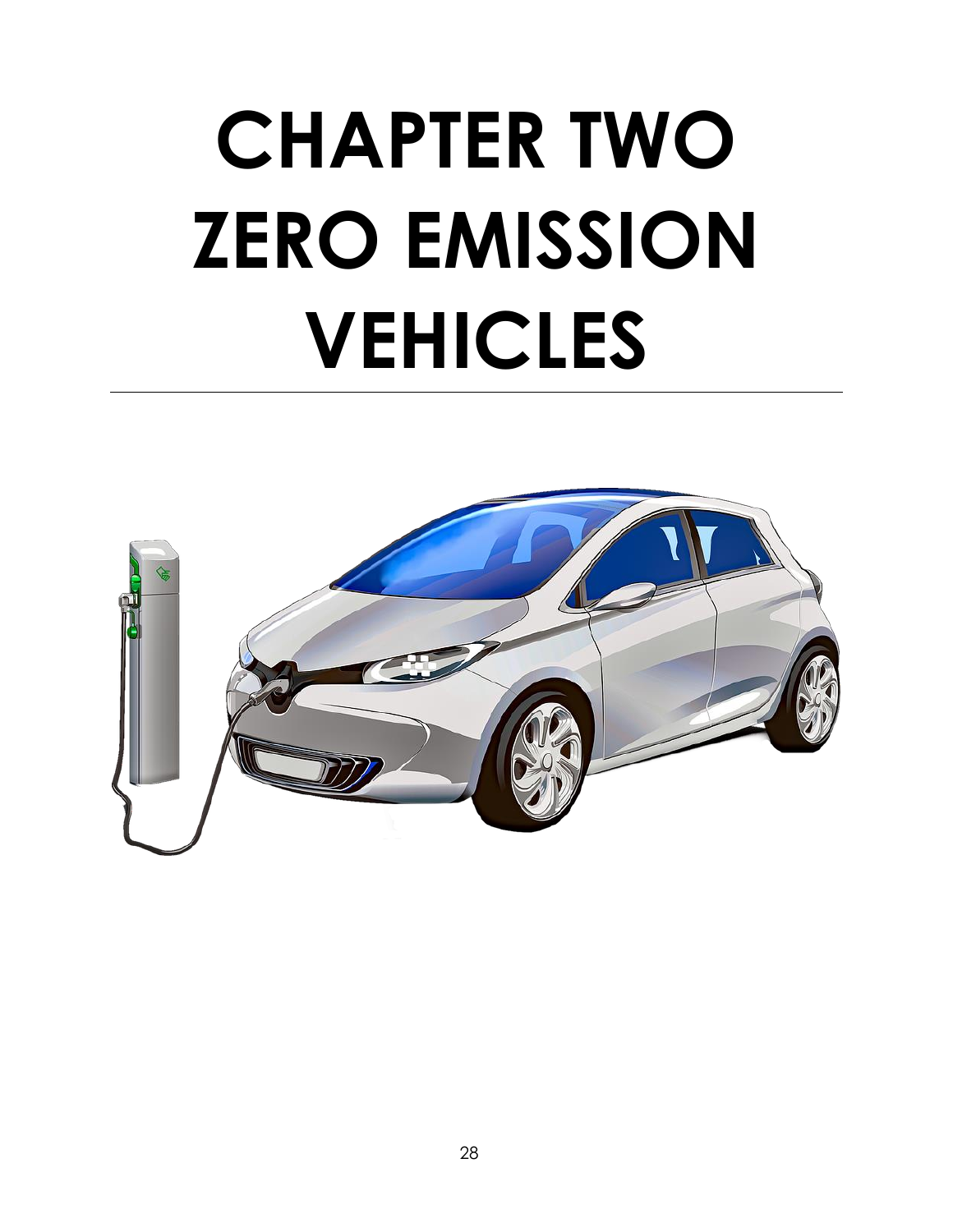# **CHAPTER TWO ZERO EMISSION VEHICLES**

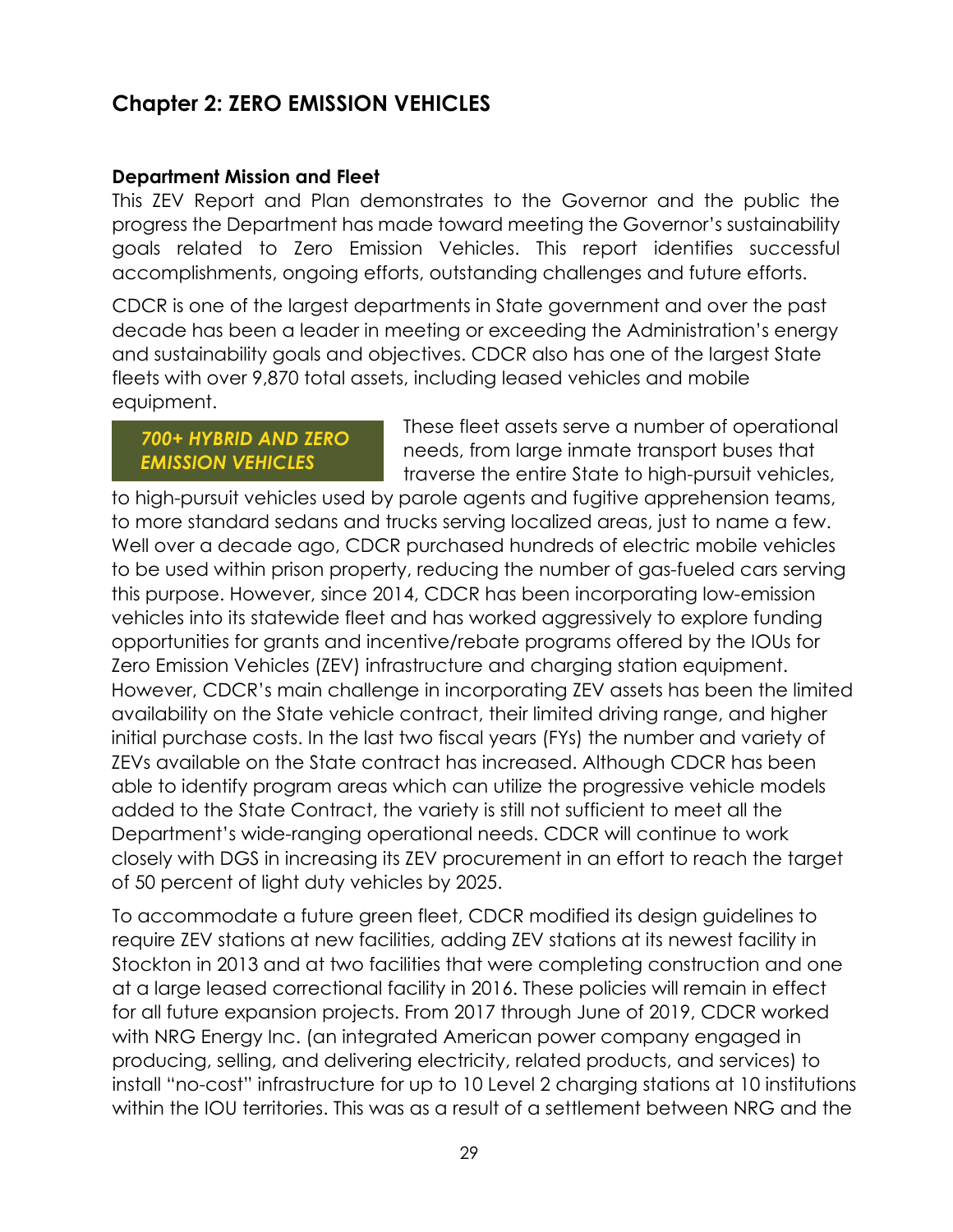# **Chapter 2: ZERO EMISSION VEHICLES**

#### **Department Mission and Fleet**

This ZEV Report and Plan demonstrates to the Governor and the public the progress the Department has made toward meeting the Governor's sustainability goals related to Zero Emission Vehicles. This report identifies successful accomplishments, ongoing efforts, outstanding challenges and future efforts.

CDCR is one of the largest departments in State government and over the past decade has been a leader in meeting or exceeding the Administration's energy and sustainability goals and objectives. CDCR also has one of the largest State fleets with over 9,870 total assets, including leased vehicles and mobile equipment.

# *700+ HYBRID AND ZERO EMISSION VEHICLES*

These fleet assets serve a number of operational needs, from large inmate transport buses that traverse the entire State to high-pursuit vehicles,

to high-pursuit vehicles used by parole agents and fugitive apprehension teams, to more standard sedans and trucks serving localized areas, just to name a few. Well over a decade ago, CDCR purchased hundreds of electric mobile vehicles to be used within prison property, reducing the number of gas-fueled cars serving this purpose. However, since 2014, CDCR has been incorporating low-emission vehicles into its statewide fleet and has worked aggressively to explore funding opportunities for grants and incentive/rebate programs offered by the IOUs for Zero Emission Vehicles (ZEV) infrastructure and charging station equipment. However, CDCR's main challenge in incorporating ZEV assets has been the limited availability on the State vehicle contract, their limited driving range, and higher initial purchase costs. In the last two fiscal years (FYs) the number and variety of ZEVs available on the State contract has increased. Although CDCR has been able to identify program areas which can utilize the progressive vehicle models added to the State Contract, the variety is still not sufficient to meet all the Department's wide-ranging operational needs. CDCR will continue to work closely with DGS in increasing its ZEV procurement in an effort to reach the target of 50 percent of light duty vehicles by 2025.

To accommodate a future green fleet, CDCR modified its design guidelines to require ZEV stations at new facilities, adding ZEV stations at its newest facility in Stockton in 2013 and at two facilities that were completing construction and one at a large leased correctional facility in 2016. These policies will remain in effect for all future expansion projects. From 2017 through June of 2019, CDCR worked with NRG Energy Inc. (an integrated American power company engaged in producing, selling, and delivering electricity, related products, and services) to install "no-cost" infrastructure for up to 10 Level 2 charging stations at 10 institutions within the IOU territories. This was as a result of a settlement between NRG and the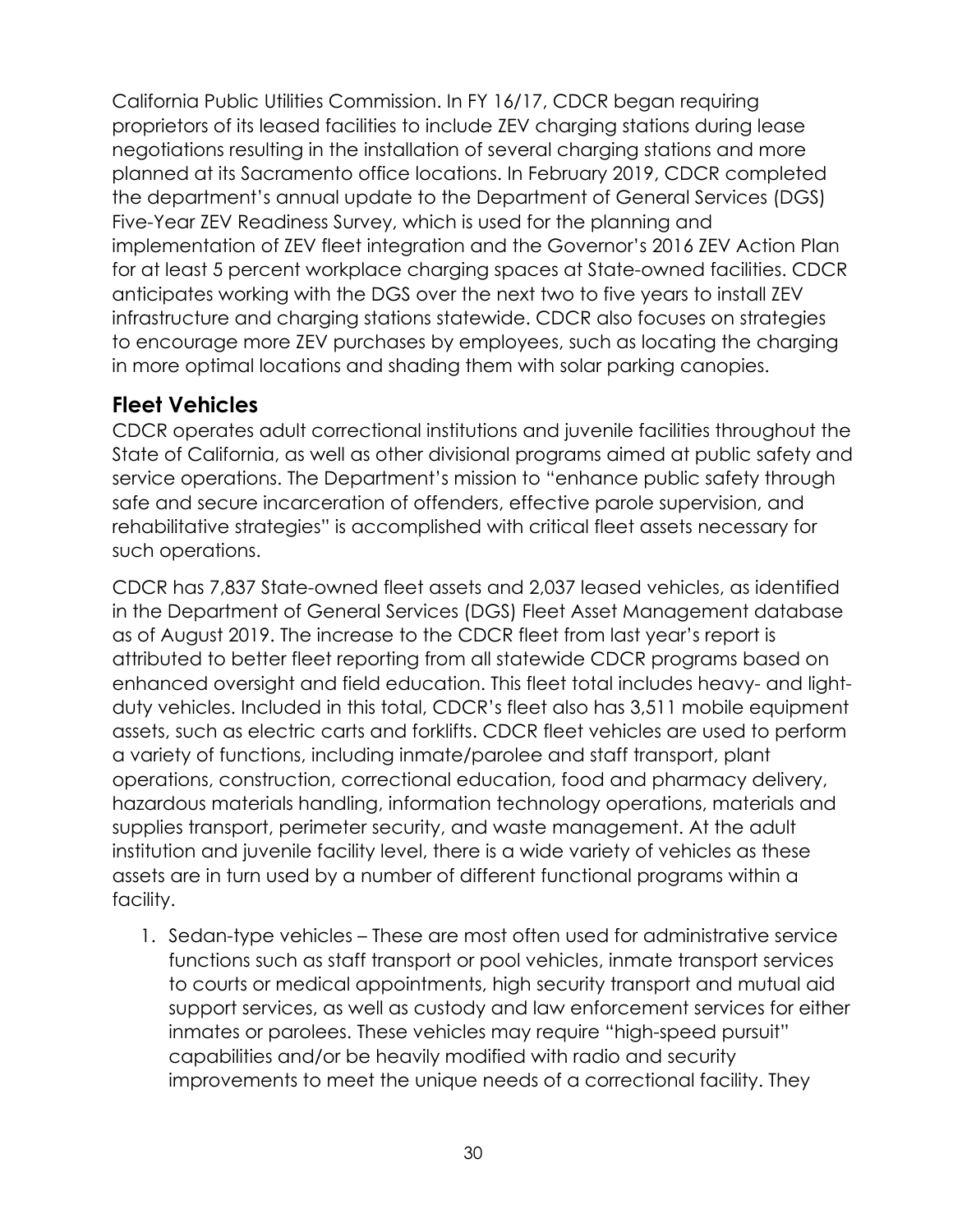California Public Utilities Commission. In FY 16/17, CDCR began requiring proprietors of its leased facilities to include ZEV charging stations during lease negotiations resulting in the installation of several charging stations and more planned at its Sacramento office locations. In February 2019, CDCR completed the department's annual update to the Department of General Services (DGS) Five-Year ZEV Readiness Survey, which is used for the planning and implementation of ZEV fleet integration and the Governor's 2016 ZEV Action Plan for at least 5 percent workplace charging spaces at State-owned facilities. CDCR anticipates working with the DGS over the next two to five years to install ZEV infrastructure and charging stations statewide. CDCR also focuses on strategies to encourage more ZEV purchases by employees, such as locating the charging in more optimal locations and shading them with solar parking canopies.

# **Fleet Vehicles**

CDCR operates adult correctional institutions and juvenile facilities throughout the State of California, as well as other divisional programs aimed at public safety and service operations. The Department's mission to "enhance public safety through safe and secure incarceration of offenders, effective parole supervision, and rehabilitative strategies" is accomplished with critical fleet assets necessary for such operations.

CDCR has 7,837 State-owned fleet assets and 2,037 leased vehicles, as identified in the Department of General Services (DGS) Fleet Asset Management database as of August 2019. The increase to the CDCR fleet from last year's report is attributed to better fleet reporting from all statewide CDCR programs based on enhanced oversight and field education. This fleet total includes heavy- and lightduty vehicles. Included in this total, CDCR's fleet also has 3,511 mobile equipment assets, such as electric carts and forklifts. CDCR fleet vehicles are used to perform a variety of functions, including inmate/parolee and staff transport, plant operations, construction, correctional education, food and pharmacy delivery, hazardous materials handling, information technology operations, materials and supplies transport, perimeter security, and waste management. At the adult institution and juvenile facility level, there is a wide variety of vehicles as these assets are in turn used by a number of different functional programs within a facility.

1. Sedan-type vehicles – These are most often used for administrative service functions such as staff transport or pool vehicles, inmate transport services to courts or medical appointments, high security transport and mutual aid support services, as well as custody and law enforcement services for either inmates or parolees. These vehicles may require "high-speed pursuit" capabilities and/or be heavily modified with radio and security improvements to meet the unique needs of a correctional facility. They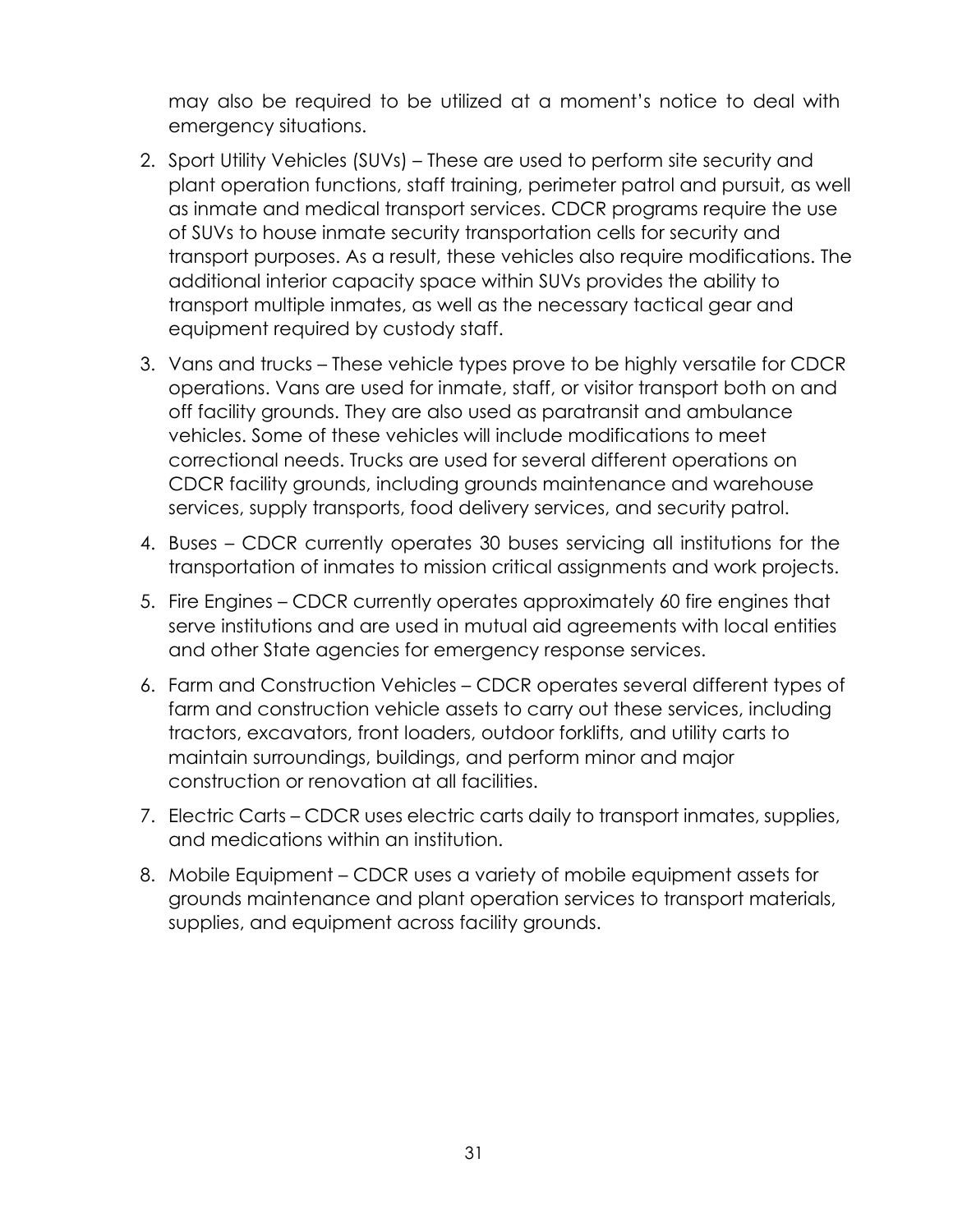may also be required to be utilized at a moment's notice to deal with emergency situations.

- 2. Sport Utility Vehicles (SUVs) These are used to perform site security and plant operation functions, staff training, perimeter patrol and pursuit, as well as inmate and medical transport services. CDCR programs require the use of SUVs to house inmate security transportation cells for security and transport purposes. As a result, these vehicles also require modifications. The additional interior capacity space within SUVs provides the ability to transport multiple inmates, as well as the necessary tactical gear and equipment required by custody staff.
- 3. Vans and trucks These vehicle types prove to be highly versatile for CDCR operations. Vans are used for inmate, staff, or visitor transport both on and off facility grounds. They are also used as paratransit and ambulance vehicles. Some of these vehicles will include modifications to meet correctional needs. Trucks are used for several different operations on CDCR facility grounds, including grounds maintenance and warehouse services, supply transports, food delivery services, and security patrol.
- 4. Buses CDCR currently operates 30 buses servicing all institutions for the transportation of inmates to mission critical assignments and work projects.
- 5. Fire Engines CDCR currently operates approximately 60 fire engines that serve institutions and are used in mutual aid agreements with local entities and other State agencies for emergency response services.
- 6. Farm and Construction Vehicles CDCR operates several different types of farm and construction vehicle assets to carry out these services, including tractors, excavators, front loaders, outdoor forklifts, and utility carts to maintain surroundings, buildings, and perform minor and major construction or renovation at all facilities.
- 7. Electric Carts CDCR uses electric carts daily to transport inmates, supplies, and medications within an institution.
- 8. Mobile Equipment CDCR uses a variety of mobile equipment assets for grounds maintenance and plant operation services to transport materials, supplies, and equipment across facility grounds.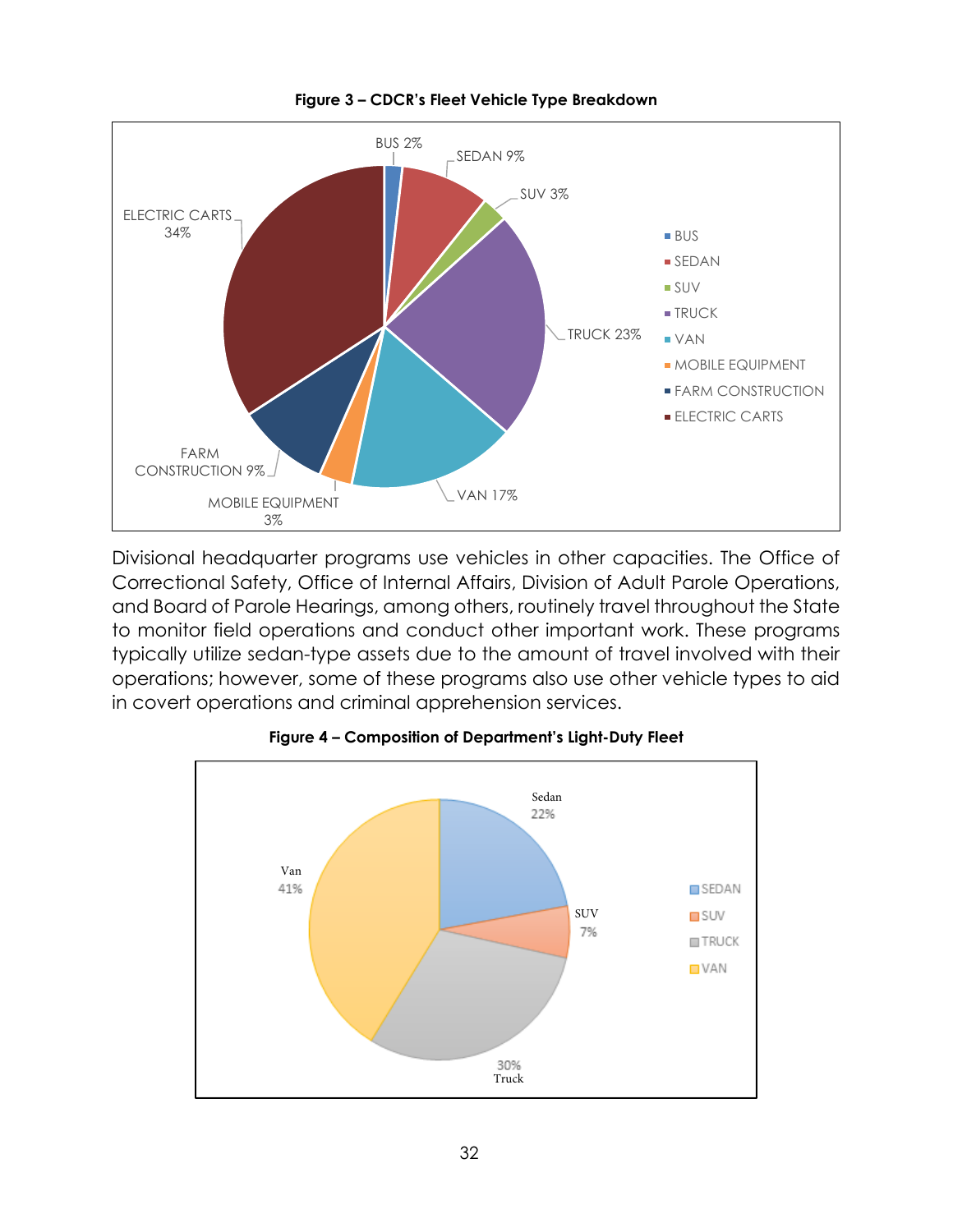

**Figure 3 – CDCR's Fleet Vehicle Type Breakdown**

Divisional headquarter programs use vehicles in other capacities. The Office of Correctional Safety, Office of Internal Affairs, Division of Adult Parole Operations, and Board of Parole Hearings, among others, routinely travel throughout the State to monitor field operations and conduct other important work. These programs typically utilize sedan-type assets due to the amount of travel involved with their operations; however, some of these programs also use other vehicle types to aid in covert operations and criminal apprehension services.



**Figure 4 – Composition of Department's Light-Duty Fleet**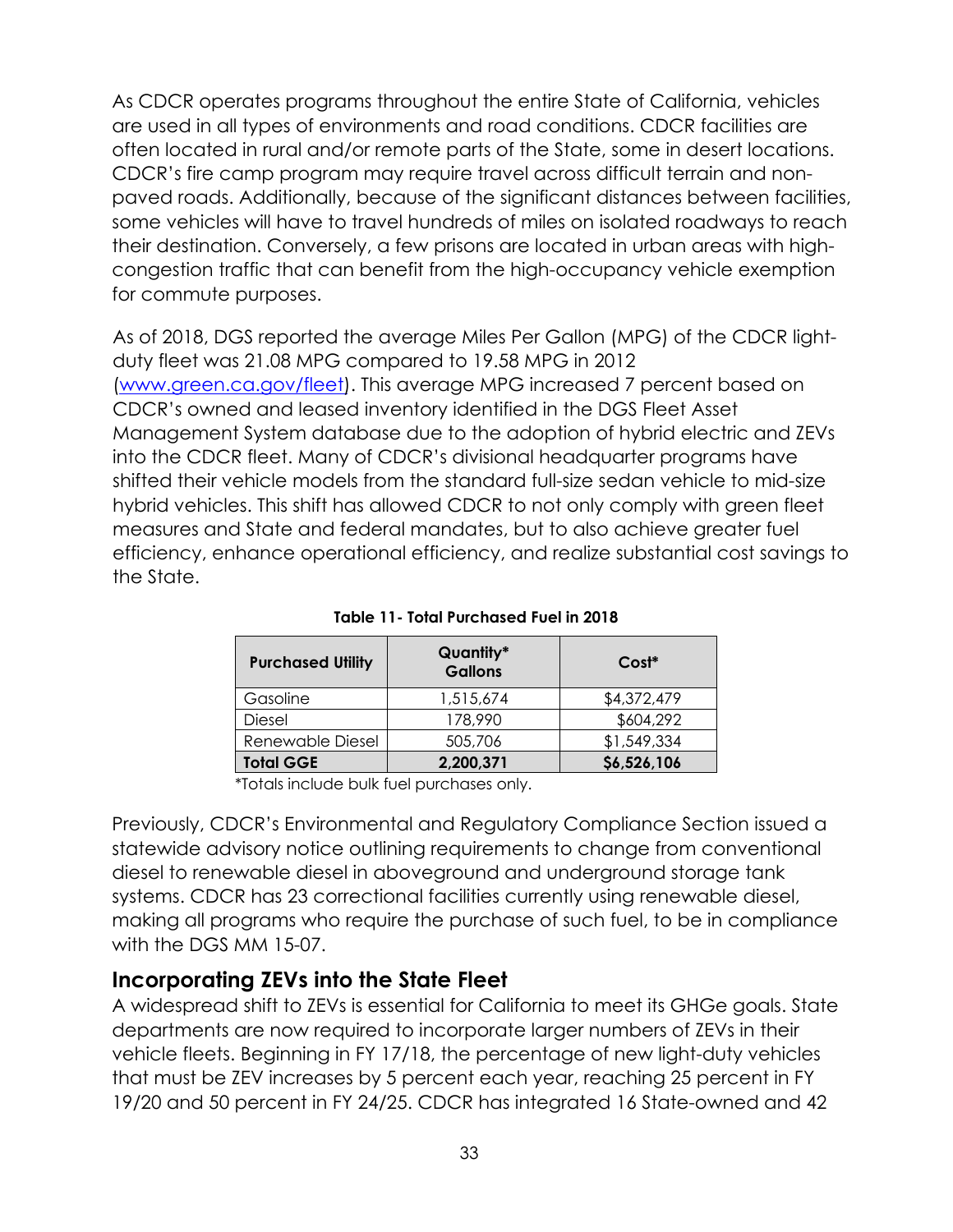As CDCR operates programs throughout the entire State of California, vehicles are used in all types of environments and road conditions. CDCR facilities are often located in rural and/or remote parts of the State, some in desert locations. CDCR's fire camp program may require travel across difficult terrain and nonpaved roads. Additionally, because of the significant distances between facilities, some vehicles will have to travel hundreds of miles on isolated roadways to reach their destination. Conversely, a few prisons are located in urban areas with highcongestion traffic that can benefit from the high-occupancy vehicle exemption for commute purposes.

As of 2018, DGS reported the average Miles Per Gallon (MPG) of the CDCR lightduty fleet was 21.08 MPG compared to 19.58 MPG in 2012 [\(www.green.ca.gov/fleet\)](http://www.green.ca.gov/fleet). This average MPG increased 7 percent based on CDCR's owned and leased inventory identified in the DGS Fleet Asset Management System database due to the adoption of hybrid electric and ZEVs into the CDCR fleet. Many of CDCR's divisional headquarter programs have shifted their vehicle models from the standard full-size sedan vehicle to mid-size hybrid vehicles. This shift has allowed CDCR to not only comply with green fleet measures and State and federal mandates, but to also achieve greater fuel efficiency, enhance operational efficiency, and realize substantial cost savings to the State.

| <b>Purchased Utility</b> | Quantity*<br><b>Gallons</b> | $Cost*$     |  |  |
|--------------------------|-----------------------------|-------------|--|--|
| Gasoline                 | 1,515,674                   | \$4,372,479 |  |  |
| Diesel                   | 178,990                     | \$604,292   |  |  |
| Renewable Diesel         | 505,706                     | \$1,549,334 |  |  |
| <b>Total GGE</b>         | 2,200,371                   | \$6,526,106 |  |  |

**Table 11- Total Purchased Fuel in 2018** 

\*Totals include bulk fuel purchases only.

Previously, CDCR's Environmental and Regulatory Compliance Section issued a statewide advisory notice outlining requirements to change from conventional diesel to renewable diesel in aboveground and underground storage tank systems. CDCR has 23 correctional facilities currently using renewable diesel, making all programs who require the purchase of such fuel, to be in compliance with the DGS MM 15-07.

# **Incorporating ZEVs into the State Fleet**

A widespread shift to ZEVs is essential for California to meet its GHGe goals. State departments are now required to incorporate larger numbers of ZEVs in their vehicle fleets. Beginning in FY 17/18, the percentage of new light-duty vehicles that must be ZEV increases by 5 percent each year, reaching 25 percent in FY 19/20 and 50 percent in FY 24/25. CDCR has integrated 16 State-owned and 42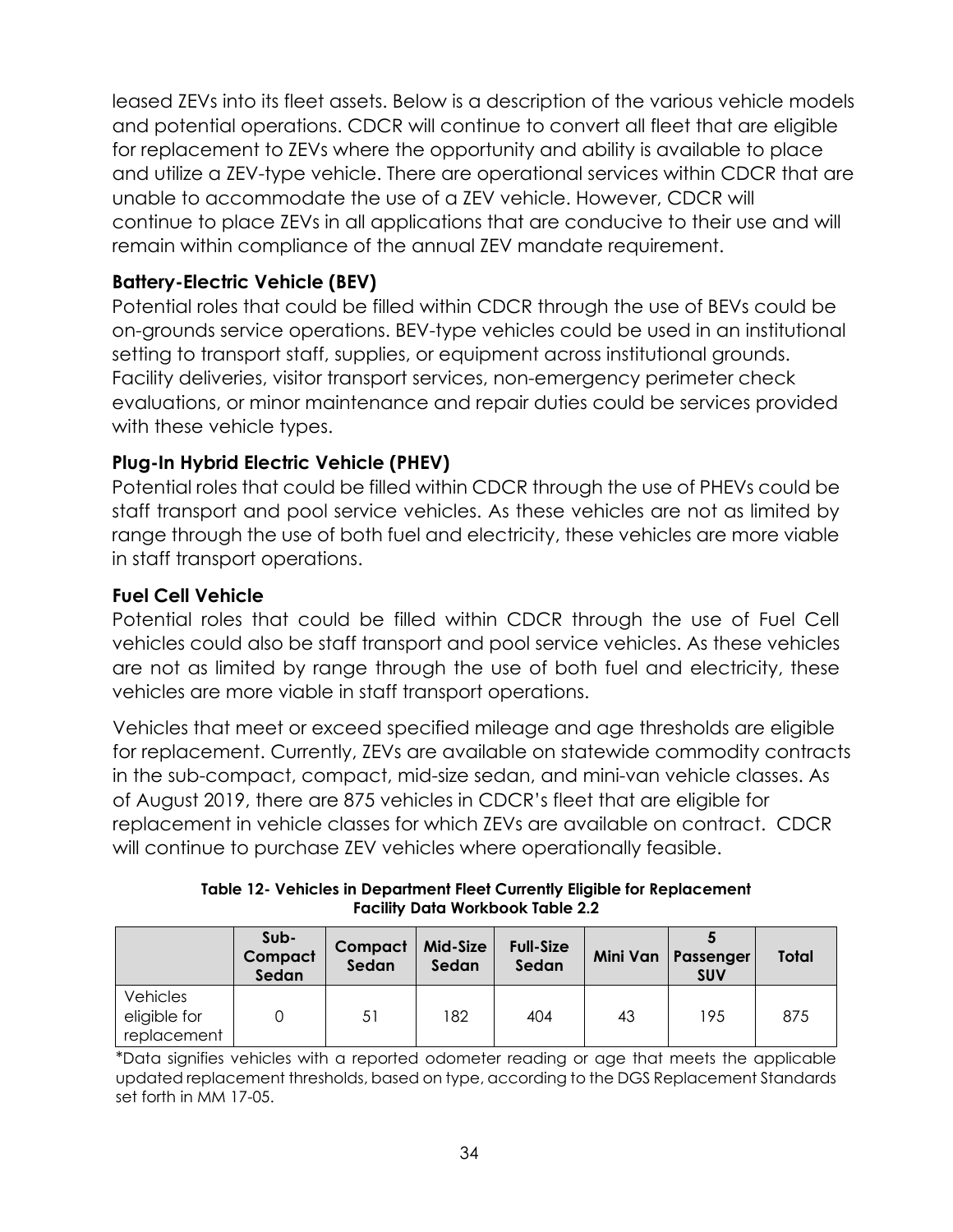leased ZEVs into its fleet assets. Below is a description of the various vehicle models and potential operations. CDCR will continue to convert all fleet that are eligible for replacement to ZEVs where the opportunity and ability is available to place and utilize a ZEV-type vehicle. There are operational services within CDCR that are unable to accommodate the use of a ZEV vehicle. However, CDCR will continue to place ZEVs in all applications that are conducive to their use and will remain within compliance of the annual ZEV mandate requirement.

# **Battery-Electric Vehicle (BEV)**

Potential roles that could be filled within CDCR through the use of BEVs could be on-grounds service operations. BEV-type vehicles could be used in an institutional setting to transport staff, supplies, or equipment across institutional grounds. Facility deliveries, visitor transport services, non-emergency perimeter check evaluations, or minor maintenance and repair duties could be services provided with these vehicle types.

# **Plug-In Hybrid Electric Vehicle (PHEV)**

Potential roles that could be filled within CDCR through the use of PHEVs could be staff transport and pool service vehicles. As these vehicles are not as limited by range through the use of both fuel and electricity, these vehicles are more viable in staff transport operations.

### **Fuel Cell Vehicle**

Potential roles that could be filled within CDCR through the use of Fuel Cell vehicles could also be staff transport and pool service vehicles. As these vehicles are not as limited by range through the use of both fuel and electricity, these vehicles are more viable in staff transport operations.

Vehicles that meet or exceed specified mileage and age thresholds are eligible for replacement. Currently, ZEVs are available on statewide commodity contracts in the sub-compact, compact, mid-size sedan, and mini-van vehicle classes. As of August 2019, there are 875 vehicles in CDCR's fleet that are eligible for replacement in vehicle classes for which ZEVs are available on contract. CDCR will continue to purchase ZEV vehicles where operationally feasible.

**Table 12- Vehicles in Department Fleet Currently Eligible for Replacement Facility Data Workbook Table 2.2** 

|                                         | Sub-<br>Compact<br>Sedan | Compact<br>Sedan | Mid-Size<br>Sedan | <b>Full-Size</b><br>Sedan |    | Mini Van   Passenger<br><b>SUV</b> | <b>Total</b> |
|-----------------------------------------|--------------------------|------------------|-------------------|---------------------------|----|------------------------------------|--------------|
| Vehicles<br>eligible for<br>replacement |                          | 51               | 182               | 404                       | 43 | 195                                | 875          |

\*Data signifies vehicles with a reported odometer reading or age that meets the applicable updated replacement thresholds, based on type, according to the DGS Replacement Standards set forth in MM 17-05.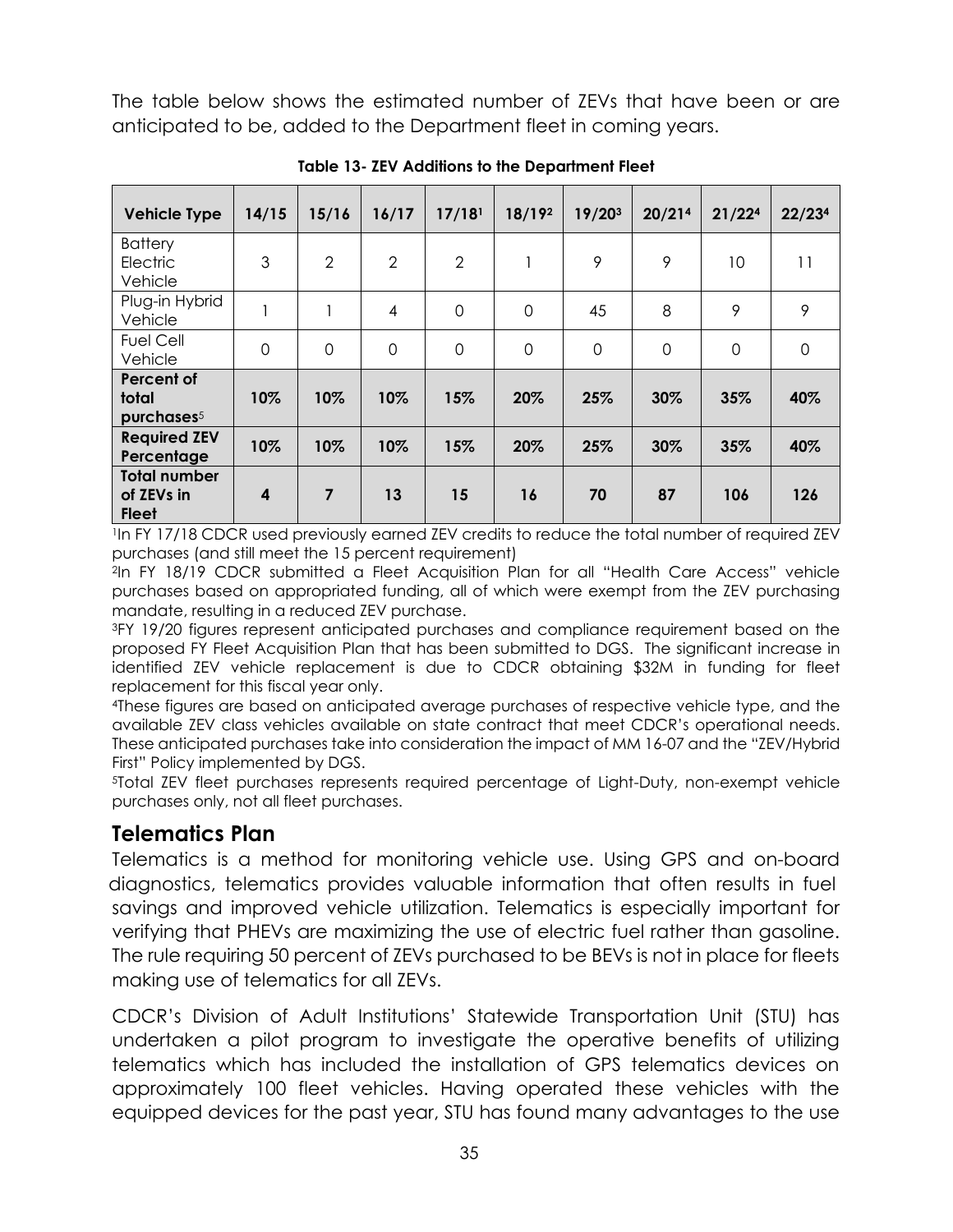The table below shows the estimated number of ZEVs that have been or are anticipated to be, added to the Department fleet in coming years.

| <b>Vehicle Type</b>                               | 14/15            | 15/16          | 16/17          | 17/18 <sup>1</sup> | 18/192      | 19/203      | 20/214      | 21/22 <sup>4</sup> | 22/23 <sup>4</sup> |
|---------------------------------------------------|------------------|----------------|----------------|--------------------|-------------|-------------|-------------|--------------------|--------------------|
| <b>Battery</b><br>Electric<br>Vehicle             | 3                | $\overline{2}$ | $\overline{2}$ | $\overline{2}$     |             | 9           | 9           | 10                 | 11                 |
| Plug-in Hybrid<br>Vehicle                         |                  | 1              | $\overline{4}$ | $\mathbf 0$        | $\mathbf 0$ | 45          | 8           | 9                  | 9                  |
| <b>Fuel Cell</b><br>Vehicle                       | $\overline{0}$   | $\mathbf 0$    | $\mathbf 0$    | $\mathbf 0$        | $\mathbf 0$ | $\mathbf 0$ | $\mathbf 0$ | $\mathbf 0$        | $\mathbf 0$        |
| Percent of<br>total<br>purchases <sup>5</sup>     | 10%              | 10%            | 10%            | 15%                | 20%         | 25%         | 30%         | 35%                | 40%                |
| <b>Required ZEV</b><br>Percentage                 | 10%              | 10%            | 10%            | 15%                | 20%         | 25%         | 30%         | 35%                | 40%                |
| <b>Total number</b><br>of ZEVs in<br><b>Fleet</b> | $\boldsymbol{4}$ | 7              | 13             | 15                 | 16          | 70          | 87          | 106                | 126                |

**Table 13- ZEV Additions to the Department Fleet** 

<sup>1</sup>In FY 17/18 CDCR used previously earned ZEV credits to reduce the total number of required ZEV purchases (and still meet the 15 percent requirement)

<sup>2</sup>In FY 18/19 CDCR submitted a Fleet Acquisition Plan for all "Health Care Access" vehicle purchases based on appropriated funding, all of which were exempt from the ZEV purchasing mandate, resulting in a reduced ZEV purchase.

<sup>3</sup>FY 19/20 figures represent anticipated purchases and compliance requirement based on the proposed FY Fleet Acquisition Plan that has been submitted to DGS. The significant increase in identified ZEV vehicle replacement is due to CDCR obtaining \$32M in funding for fleet replacement for this fiscal year only.

<sup>4</sup>These figures are based on anticipated average purchases of respective vehicle type, and the available ZEV class vehicles available on state contract that meet CDCR's operational needs. These anticipated purchases take into consideration the impact of MM 16-07 and the "ZEV/Hybrid First" Policy implemented by DGS.

<sup>5</sup>Total ZEV fleet purchases represents required percentage of Light-Duty, non-exempt vehicle purchases only, not all fleet purchases.

# **Telematics Plan**

Telematics is a method for monitoring vehicle use. Using GPS and on-board diagnostics, telematics provides valuable information that often results in fuel savings and improved vehicle utilization. Telematics is especially important for verifying that PHEVs are maximizing the use of electric fuel rather than gasoline. The rule requiring 50 percent of ZEVs purchased to be BEVs is not in place for fleets making use of telematics for all ZEVs.

CDCR's Division of Adult Institutions' Statewide Transportation Unit (STU) has undertaken a pilot program to investigate the operative benefits of utilizing telematics which has included the installation of GPS telematics devices on approximately 100 fleet vehicles. Having operated these vehicles with the equipped devices for the past year, STU has found many advantages to the use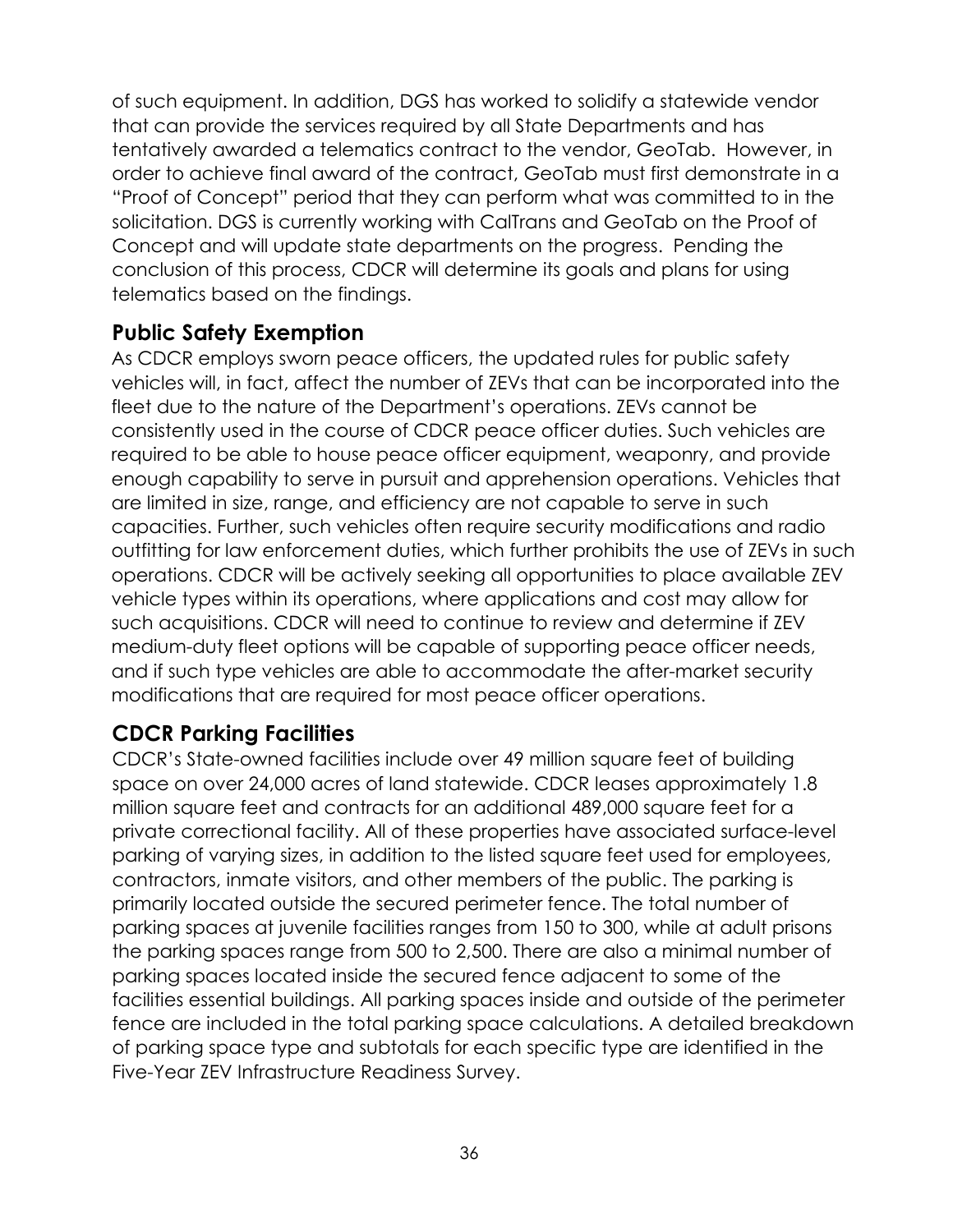of such equipment. In addition, DGS has worked to solidify a statewide vendor that can provide the services required by all State Departments and has tentatively awarded a telematics contract to the vendor, GeoTab. However, in order to achieve final award of the contract, GeoTab must first demonstrate in a "Proof of Concept" period that they can perform what was committed to in the solicitation. DGS is currently working with CalTrans and GeoTab on the Proof of Concept and will update state departments on the progress. Pending the conclusion of this process, CDCR will determine its goals and plans for using telematics based on the findings.

# **Public Safety Exemption**

As CDCR employs sworn peace officers, the updated rules for public safety vehicles will, in fact, affect the number of ZEVs that can be incorporated into the fleet due to the nature of the Department's operations. ZEVs cannot be consistently used in the course of CDCR peace officer duties. Such vehicles are required to be able to house peace officer equipment, weaponry, and provide enough capability to serve in pursuit and apprehension operations. Vehicles that are limited in size, range, and efficiency are not capable to serve in such capacities. Further, such vehicles often require security modifications and radio outfitting for law enforcement duties, which further prohibits the use of ZEVs in such operations. CDCR will be actively seeking all opportunities to place available ZEV vehicle types within its operations, where applications and cost may allow for such acquisitions. CDCR will need to continue to review and determine if ZEV medium-duty fleet options will be capable of supporting peace officer needs, and if such type vehicles are able to accommodate the after-market security modifications that are required for most peace officer operations.

# **CDCR Parking Facilities**

CDCR's State-owned facilities include over 49 million square feet of building space on over 24,000 acres of land statewide. CDCR leases approximately 1.8 million square feet and contracts for an additional 489,000 square feet for a private correctional facility. All of these properties have associated surface-level parking of varying sizes, in addition to the listed square feet used for employees, contractors, inmate visitors, and other members of the public. The parking is primarily located outside the secured perimeter fence. The total number of parking spaces at juvenile facilities ranges from 150 to 300, while at adult prisons the parking spaces range from 500 to 2,500. There are also a minimal number of parking spaces located inside the secured fence adjacent to some of the facilities essential buildings. All parking spaces inside and outside of the perimeter fence are included in the total parking space calculations. A detailed breakdown of parking space type and subtotals for each specific type are identified in the Five-Year ZEV Infrastructure Readiness Survey.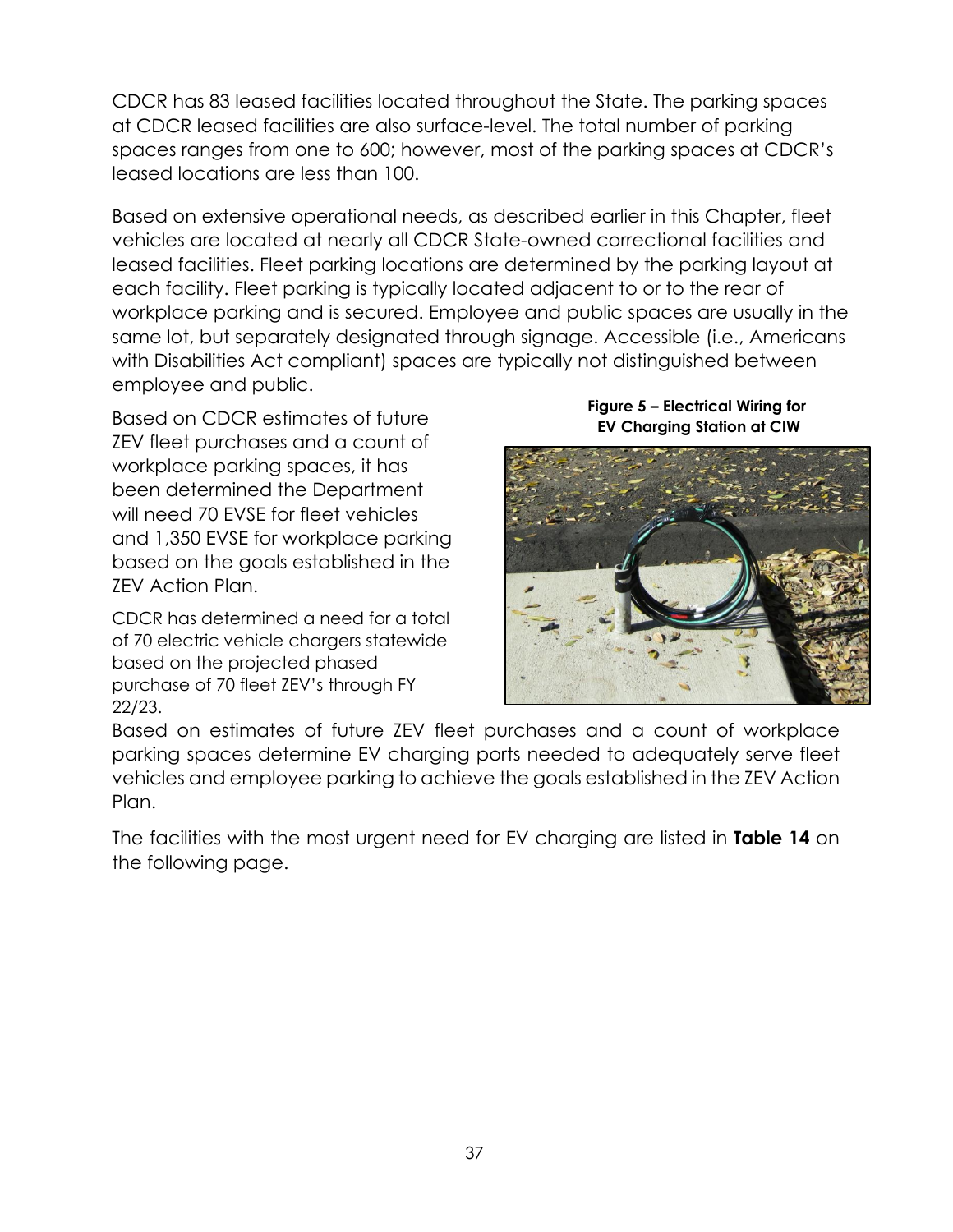CDCR has 83 leased facilities located throughout the State. The parking spaces at CDCR leased facilities are also surface-level. The total number of parking spaces ranges from one to 600; however, most of the parking spaces at CDCR's leased locations are less than 100.

Based on extensive operational needs, as described earlier in this Chapter, fleet vehicles are located at nearly all CDCR State-owned correctional facilities and leased facilities. Fleet parking locations are determined by the parking layout at each facility. Fleet parking is typically located adjacent to or to the rear of workplace parking and is secured. Employee and public spaces are usually in the same lot, but separately designated through signage. Accessible (i.e., Americans with Disabilities Act compliant) spaces are typically not distinguished between employee and public.

Based on CDCR estimates of future ZEV fleet purchases and a count of workplace parking spaces, it has been determined the Department will need 70 EVSE for fleet vehicles and 1,350 EVSE for workplace parking based on the goals established in the ZEV Action Plan.

CDCR has determined a need for a total of 70 electric vehicle chargers statewide based on the projected phased purchase of 70 fleet ZEV's through FY 22/23.

**Figure 5 – Electrical Wiring for EV Charging Station at CIW**



Based on estimates of future ZEV fleet purchases and a count of workplace parking spaces determine EV charging ports needed to adequately serve fleet vehicles and employee parking to achieve the goals established in the ZEV Action Plan.

The facilities with the most urgent need for EV charging are listed in **[Table 14](#page-10-0)** on the following page.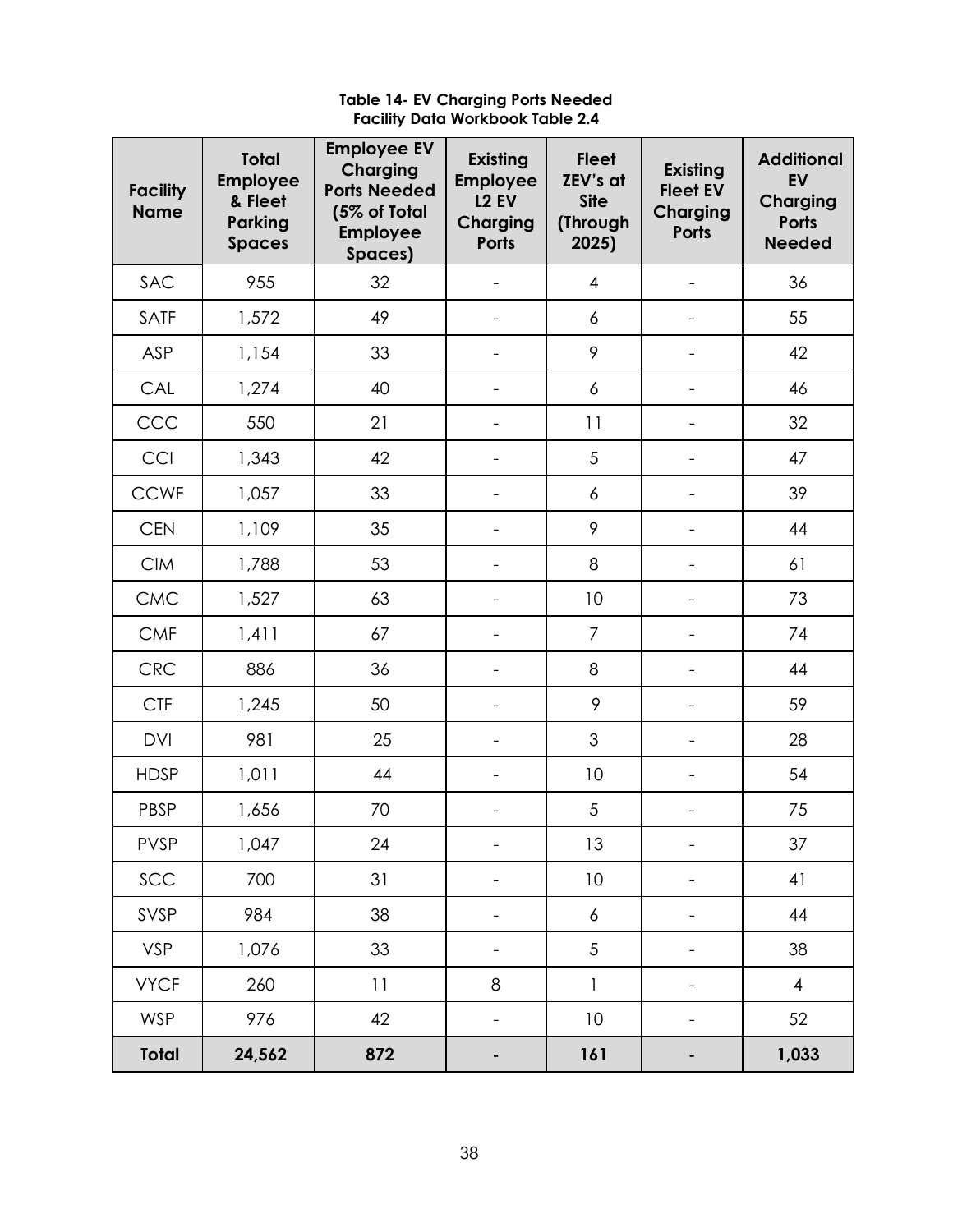<span id="page-10-0"></span>

| <b>Facility</b><br><b>Name</b> | <b>Total</b><br><b>Employee</b><br>& Fleet<br>Parking<br><b>Spaces</b> | <b>Employee EV</b><br>Charging<br><b>Ports Needed</b><br>(5% of Total<br><b>Employee</b><br>Spaces) | Existing<br><b>Employee</b><br><b>L2 EV</b><br><b>Charging</b><br><b>Ports</b> | <b>Fleet</b><br>ZEV's at<br><b>Site</b><br>(Through<br>2025) | <b>Existing</b><br><b>Fleet EV</b><br><b>Charging</b><br><b>Ports</b> | <b>Additional</b><br><b>EV</b><br><b>Charging</b><br><b>Ports</b><br><b>Needed</b> |
|--------------------------------|------------------------------------------------------------------------|-----------------------------------------------------------------------------------------------------|--------------------------------------------------------------------------------|--------------------------------------------------------------|-----------------------------------------------------------------------|------------------------------------------------------------------------------------|
| SAC                            | 955                                                                    | 32                                                                                                  |                                                                                | $\overline{4}$                                               |                                                                       | 36                                                                                 |
| SATF                           | 1,572                                                                  | 49                                                                                                  | $\overline{\phantom{0}}$                                                       | 6                                                            |                                                                       | 55                                                                                 |
| ASP                            | 1,154                                                                  | 33                                                                                                  |                                                                                | 9                                                            |                                                                       | 42                                                                                 |
| CAL                            | 1,274                                                                  | 40                                                                                                  | $\qquad \qquad -$                                                              | $\boldsymbol{6}$                                             |                                                                       | 46                                                                                 |
| CCC                            | 550                                                                    | 21                                                                                                  |                                                                                | 11                                                           |                                                                       | 32                                                                                 |
| CCI                            | 1,343                                                                  | 42                                                                                                  | $\overline{\phantom{0}}$                                                       | 5                                                            | $\overline{\phantom{0}}$                                              | 47                                                                                 |
| <b>CCWF</b>                    | 1,057                                                                  | 33                                                                                                  | $\overline{\phantom{0}}$                                                       | 6                                                            | $\qquad \qquad -$                                                     | 39                                                                                 |
| <b>CEN</b>                     | 1,109                                                                  | 35                                                                                                  | $\overline{\phantom{0}}$                                                       | 9                                                            | -                                                                     | 44                                                                                 |
| <b>CIM</b>                     | 1,788                                                                  | 53                                                                                                  |                                                                                | 8                                                            |                                                                       | 61                                                                                 |
| CMC                            | 1,527                                                                  | 63                                                                                                  | $\overline{\phantom{0}}$                                                       | 10                                                           |                                                                       | 73                                                                                 |
| <b>CMF</b>                     | 1,411                                                                  | 67                                                                                                  | $\qquad \qquad -$                                                              | $\overline{7}$                                               |                                                                       | 74                                                                                 |
| <b>CRC</b>                     | 886                                                                    | 36                                                                                                  | $\overline{a}$                                                                 | 8                                                            |                                                                       | 44                                                                                 |
| <b>CTF</b>                     | 1,245                                                                  | 50                                                                                                  |                                                                                | 9                                                            |                                                                       | 59                                                                                 |
| <b>DVI</b>                     | 981                                                                    | 25                                                                                                  |                                                                                | 3                                                            |                                                                       | 28                                                                                 |
| <b>HDSP</b>                    | 1,011                                                                  | 44                                                                                                  | $\overline{\phantom{a}}$                                                       | 10                                                           | $\qquad \qquad -$                                                     | 54                                                                                 |
| PBSP                           | 1,656                                                                  | 70                                                                                                  | $\overline{\phantom{0}}$                                                       | 5                                                            | $\qquad \qquad \blacksquare$                                          | 75                                                                                 |
| <b>PVSP</b>                    | 1,047                                                                  | 24                                                                                                  | $\qquad \qquad -$                                                              | 13                                                           | -                                                                     | 37                                                                                 |
| SCC                            | 700                                                                    | 31                                                                                                  | $\qquad \qquad \blacksquare$                                                   | 10                                                           | $\qquad \qquad -$                                                     | 41                                                                                 |
| SVSP                           | 984                                                                    | 38                                                                                                  | $\overline{\phantom{0}}$                                                       | $\boldsymbol{6}$                                             | $\overline{\phantom{0}}$                                              | 44                                                                                 |
| <b>VSP</b>                     | 1,076                                                                  | 33                                                                                                  | $\qquad \qquad -$                                                              | 5                                                            | $\qquad \qquad -$                                                     | 38                                                                                 |
| <b>VYCF</b>                    | 260                                                                    | 11                                                                                                  | $\,8\,$                                                                        | $\mathbf{1}$                                                 | $\qquad \qquad \blacksquare$                                          | $\overline{4}$                                                                     |
| <b>WSP</b>                     | 976                                                                    | 42                                                                                                  | $\overline{\phantom{0}}$                                                       | 10                                                           |                                                                       | 52                                                                                 |
| <b>Total</b>                   | 24,562                                                                 | 872                                                                                                 | ٠                                                                              | 161                                                          | ٠                                                                     | 1,033                                                                              |

#### **Table 14- EV Charging Ports Needed Facility Data Workbook Table 2.4**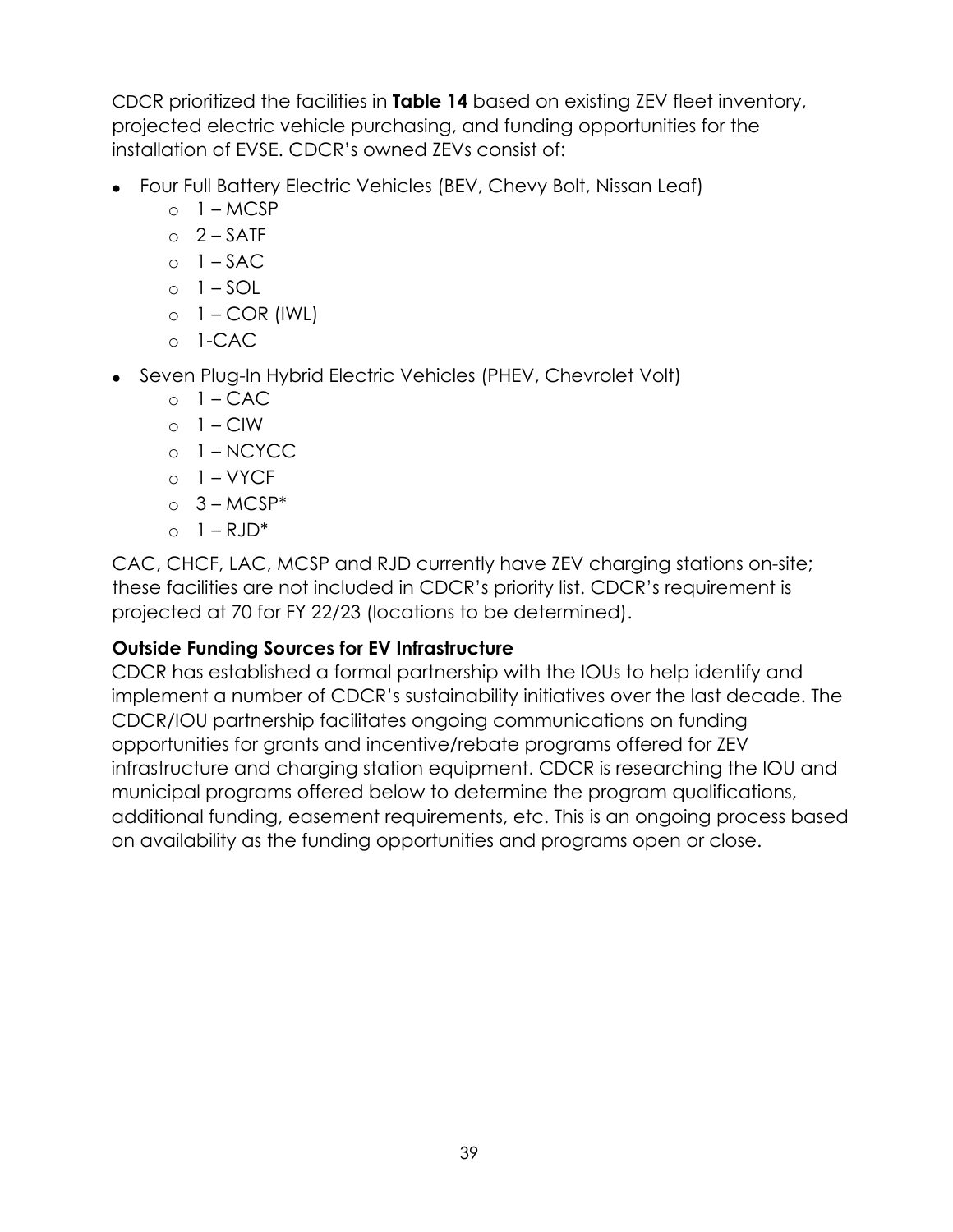CDCR prioritized the facilities in **[Table 14](#page-10-0)** based on existing ZEV fleet inventory, projected electric vehicle purchasing, and funding opportunities for the installation of EVSE. CDCR's owned ZEVs consist of:

- Four Full Battery Electric Vehicles (BEV, Chevy Bolt, Nissan Leaf)
	- $\circ$  1 MCSP
	- $O<sub>2</sub> SATF$
	- $o \quad 1 SAC$
	- $\circ$  1 SOL
	- $o \mid \text{COR}$  (IWL)
	- o 1-CAC
- Seven Plug-In Hybrid Electric Vehicles (PHEV, Chevrolet Volt)
	- $o \quad 1 CAC$
	- $\circ$  1 CIW
	- o 1 NCYCC
	- $o \quad 1 VYCF$
	- $O<sub>2</sub> MCSP<sup>*</sup>$
	- $0 \quad 1 RJD^*$

CAC, CHCF, LAC, MCSP and RJD currently have ZEV charging stations on-site; these facilities are not included in CDCR's priority list. CDCR's requirement is projected at 70 for FY 22/23 (locations to be determined).

### **Outside Funding Sources for EV Infrastructure**

CDCR has established a formal partnership with the IOUs to help identify and implement a number of CDCR's sustainability initiatives over the last decade. The CDCR/IOU partnership facilitates ongoing communications on funding opportunities for grants and incentive/rebate programs offered for ZEV infrastructure and charging station equipment. CDCR is researching the IOU and municipal programs offered below to determine the program qualifications, additional funding, easement requirements, etc. This is an ongoing process based on availability as the funding opportunities and programs open or close.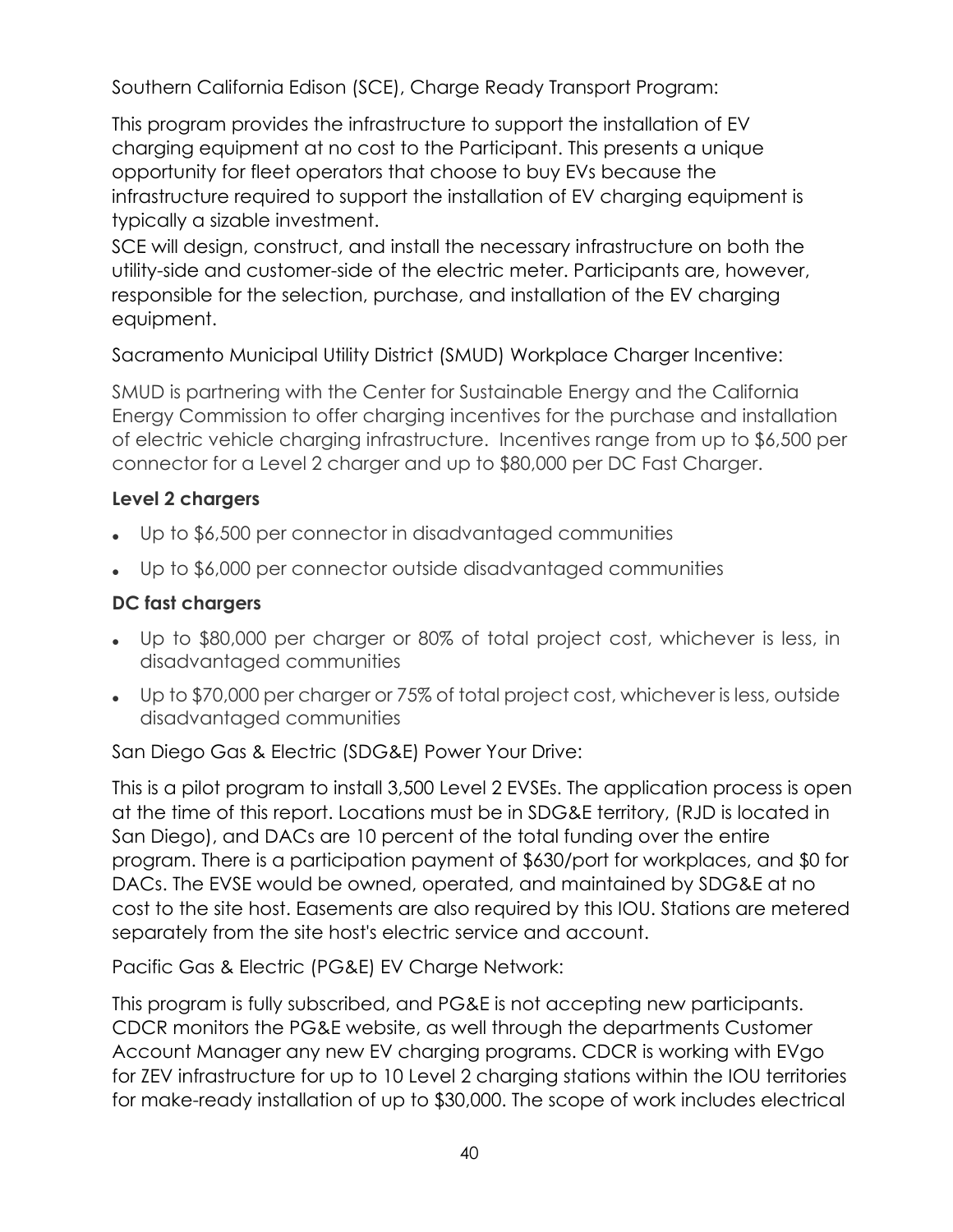Southern California Edison (SCE), Charge Ready Transport Program:

This program provides the infrastructure to support the installation of EV charging equipment at no cost to the Participant. This presents a unique opportunity for fleet operators that choose to buy EVs because the infrastructure required to support the installation of EV charging equipment is typically a sizable investment.

SCE will design, construct, and install the necessary infrastructure on both the utility-side and customer-side of the electric meter. Participants are, however, responsible for the selection, purchase, and installation of the EV charging equipment.

Sacramento Municipal Utility District (SMUD) Workplace Charger Incentive:

SMUD is partnering with the Center for Sustainable Energy and the California Energy Commission to offer charging incentives for the purchase and installation of electric vehicle charging infrastructure. Incentives range from up to \$6,500 per connector for a Level 2 charger and up to \$80,000 per DC Fast Charger.

# **Level 2 chargers**

- Up to \$6,500 per connector in disadvantaged communities
- Up to \$6,000 per connector outside disadvantaged communities

# **DC fast chargers**

- Up to \$80,000 per charger or 80% of total project cost, whichever is less, in disadvantaged communities
- Up to \$70,000 per charger or 75% of total project cost, whichever is less, outside disadvantaged communities

San Diego Gas & Electric (SDG&E) Power Your Drive:

This is a pilot program to install 3,500 Level 2 EVSEs. The application process is open at the time of this report. Locations must be in SDG&E territory, (RJD is located in San Diego), and DACs are 10 percent of the total funding over the entire program. There is a participation payment of \$630/port for workplaces, and \$0 for DACs. The EVSE would be owned, operated, and maintained by SDG&E at no cost to the site host. Easements are also required by this IOU. Stations are metered separately from the site host's electric service and account.

Pacific Gas & Electric (PG&E) EV Charge Network:

This program is fully subscribed, and PG&E is not accepting new participants. CDCR monitors the PG&E website, as well through the departments Customer Account Manager any new EV charging programs. CDCR is working with EVgo for ZEV infrastructure for up to 10 Level 2 charging stations within the IOU territories for make-ready installation of up to \$30,000. The scope of work includes electrical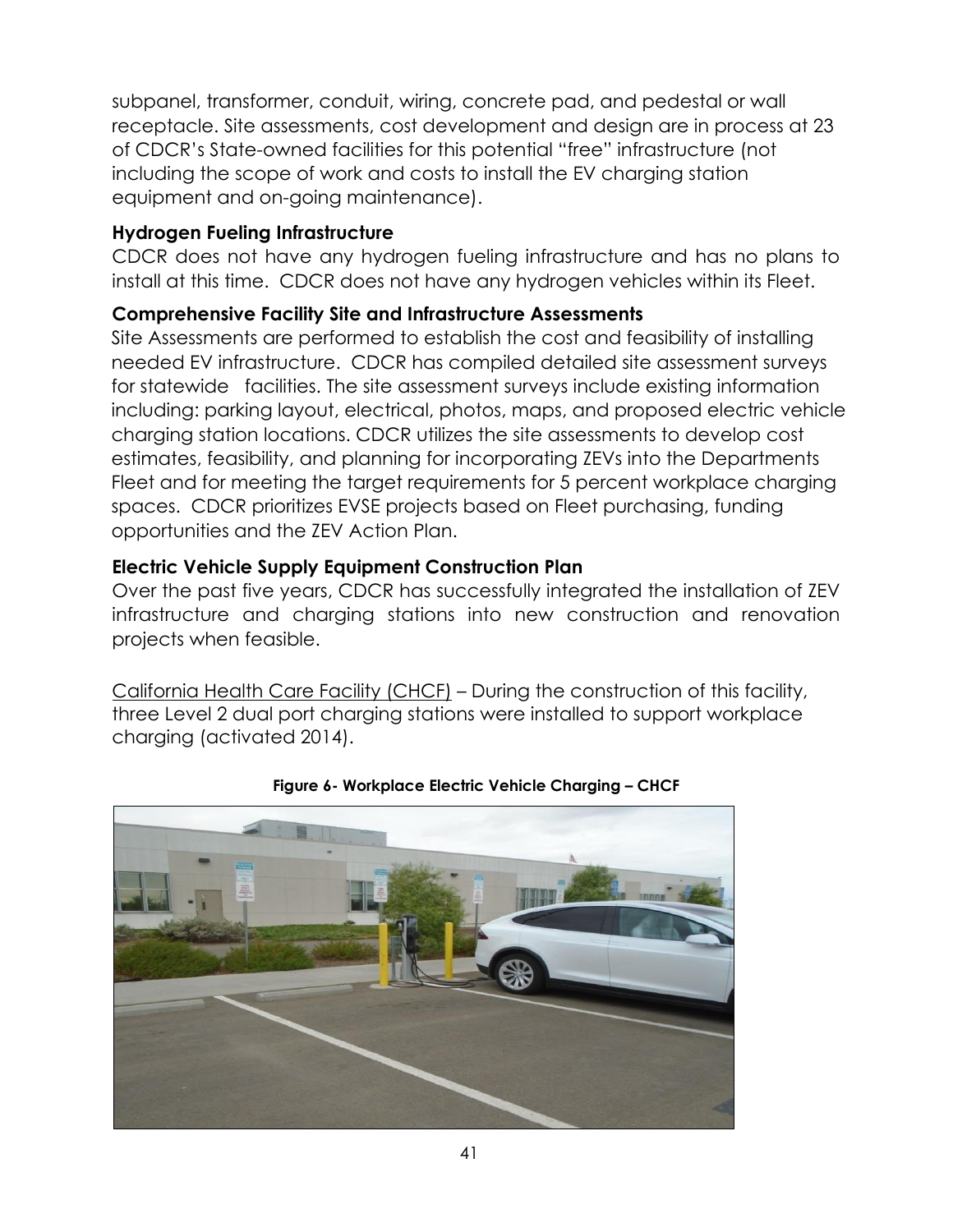subpanel, transformer, conduit, wiring, concrete pad, and pedestal or wall receptacle. Site assessments, cost development and design are in process at 23 of CDCR's State-owned facilities for this potential "free" infrastructure (not including the scope of work and costs to install the EV charging station equipment and on-going maintenance).

#### **Hydrogen Fueling Infrastructure**

CDCR does not have any hydrogen fueling infrastructure and has no plans to install at this time. CDCR does not have any hydrogen vehicles within its Fleet.

### **Comprehensive Facility Site and Infrastructure Assessments**

Site Assessments are performed to establish the cost and feasibility of installing needed EV infrastructure. CDCR has compiled detailed site assessment surveys for statewide facilities. The site assessment surveys include existing information including: parking layout, electrical, photos, maps, and proposed electric vehicle charging station locations. CDCR utilizes the site assessments to develop cost estimates, feasibility, and planning for incorporating ZEVs into the Departments Fleet and for meeting the target requirements for 5 percent workplace charging spaces. CDCR prioritizes EVSE projects based on Fleet purchasing, funding opportunities and the ZEV Action Plan.

### **Electric Vehicle Supply Equipment Construction Plan**

Over the past five years, CDCR has successfully integrated the installation of ZEV infrastructure and charging stations into new construction and renovation projects when feasible.

California Health Care Facility (CHCF) – During the construction of this facility, three Level 2 dual port charging stations were installed to support workplace charging (activated 2014).



**Figure 6- Workplace Electric Vehicle Charging – CHCF**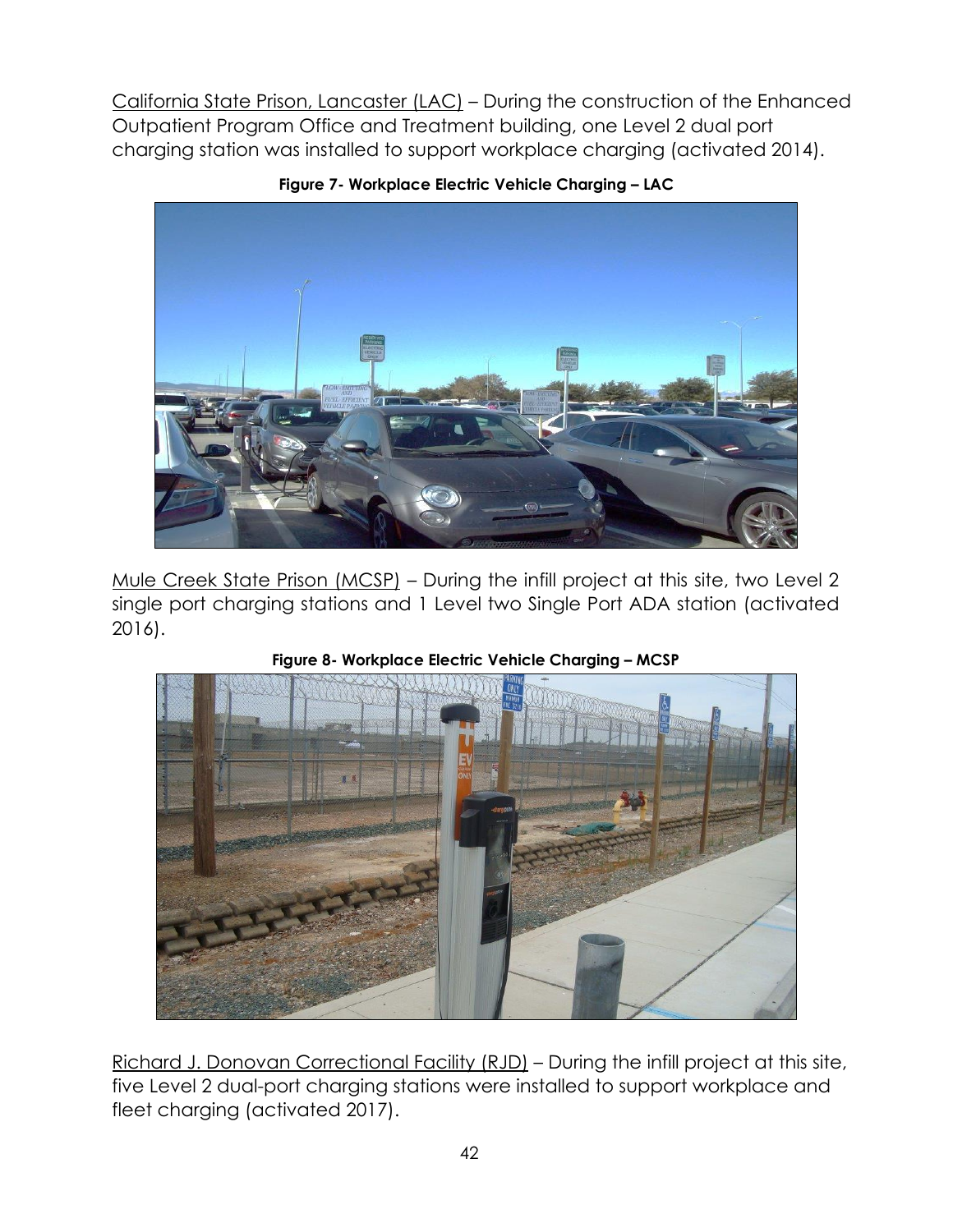California State Prison, Lancaster (LAC) – During the construction of the Enhanced Outpatient Program Office and Treatment building, one Level 2 dual port charging station was installed to support workplace charging (activated 2014).



**Figure 7- Workplace Electric Vehicle Charging – LAC**

Mule Creek State Prison (MCSP) – During the infill project at this site, two Level 2 single port charging stations and 1 Level two Single Port ADA station (activated 2016).



**Figure 8- Workplace Electric Vehicle Charging – MCSP**

Richard J. Donovan Correctional Facility (RJD) – During the infill project at this site, five Level 2 dual-port charging stations were installed to support workplace and fleet charging (activated 2017).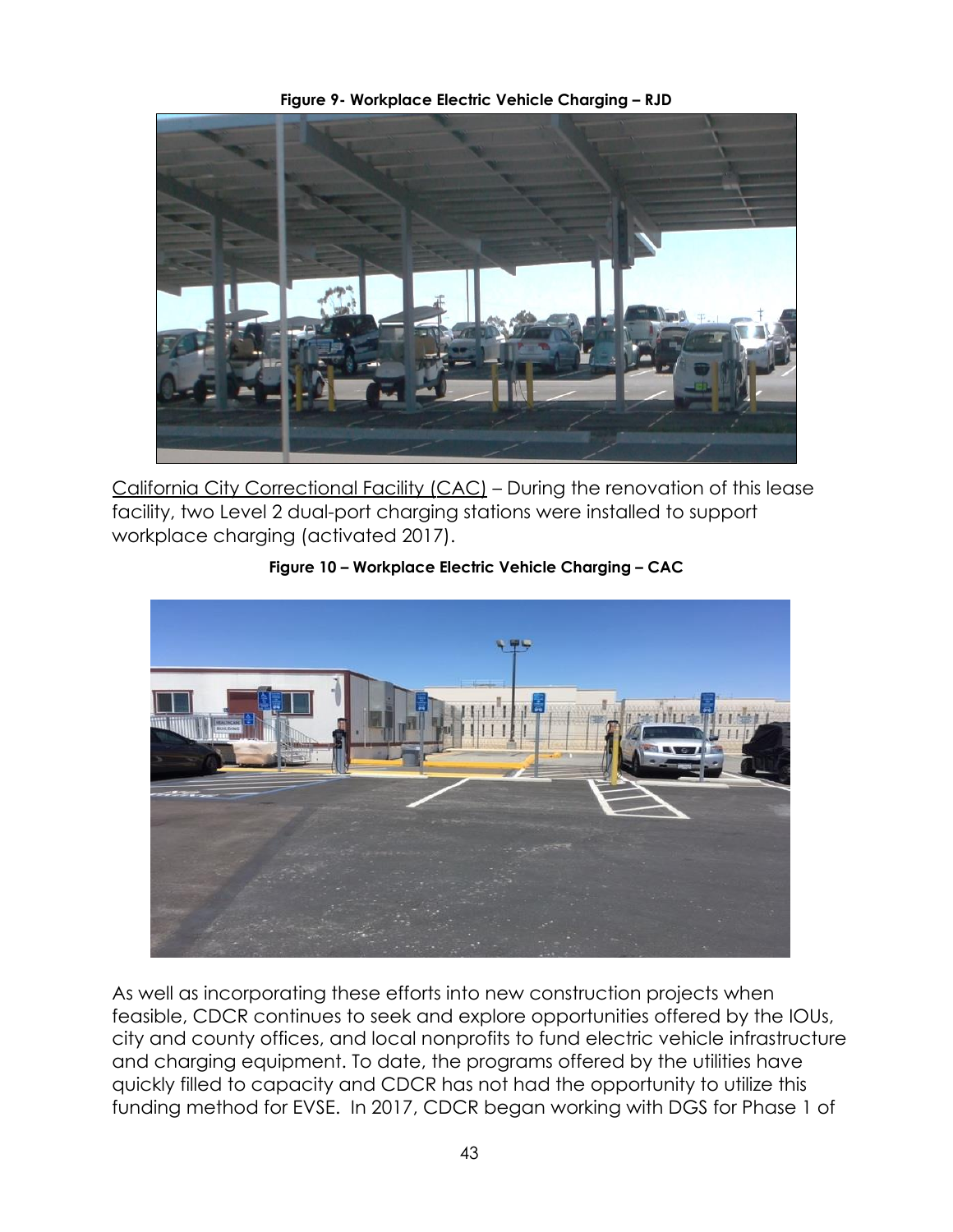

California City Correctional Facility (CAC) – During the renovation of this lease facility, two Level 2 dual-port charging stations were installed to support workplace charging (activated 2017).



**Figure 10 – Workplace Electric Vehicle Charging – CAC**

As well as incorporating these efforts into new construction projects when feasible, CDCR continues to seek and explore opportunities offered by the IOUs, city and county offices, and local nonprofits to fund electric vehicle infrastructure and charging equipment. To date, the programs offered by the utilities have quickly filled to capacity and CDCR has not had the opportunity to utilize this funding method for EVSE. In 2017, CDCR began working with DGS for Phase 1 of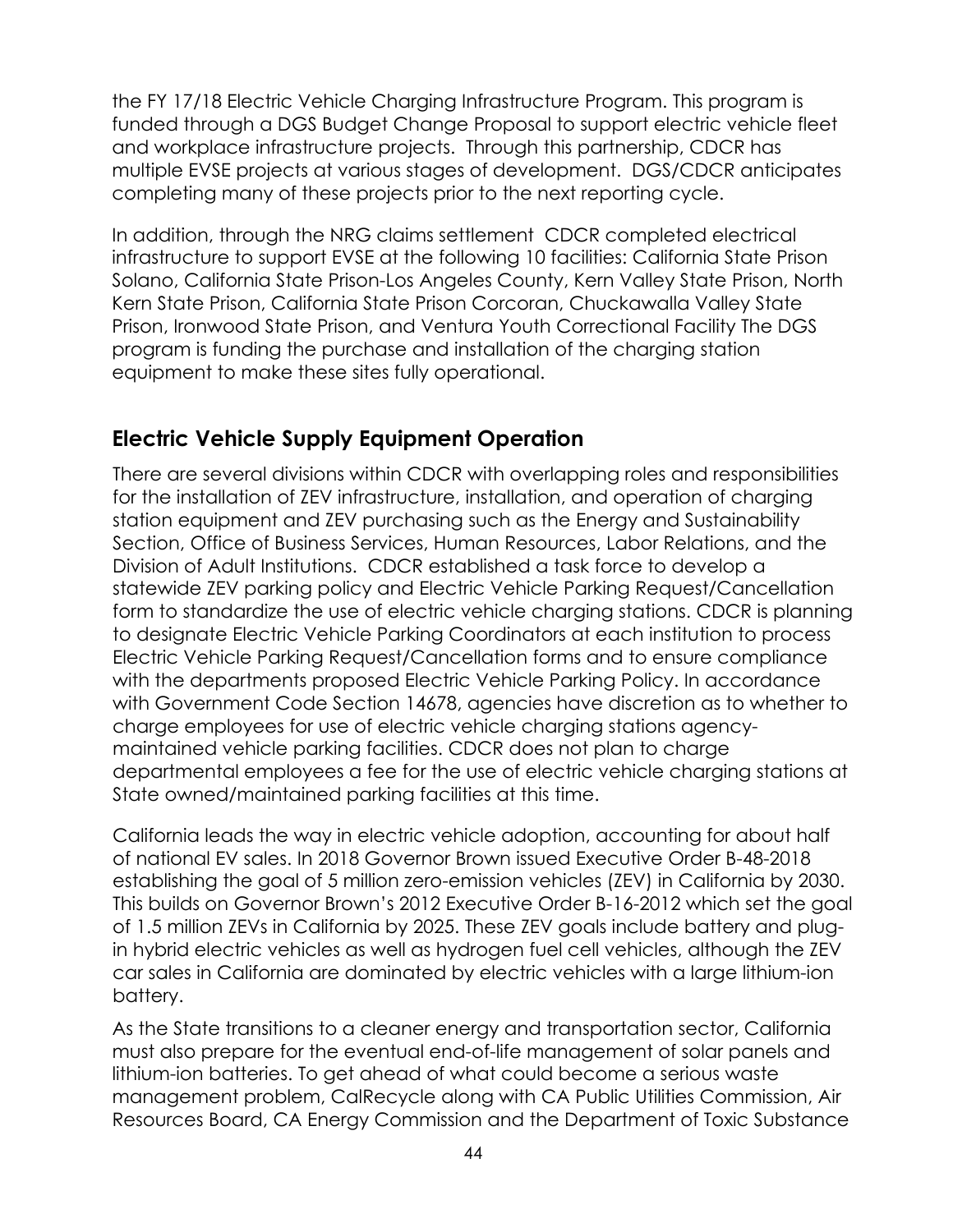the FY 17/18 Electric Vehicle Charging Infrastructure Program. This program is funded through a DGS Budget Change Proposal to support electric vehicle fleet and workplace infrastructure projects. Through this partnership, CDCR has multiple EVSE projects at various stages of development. DGS/CDCR anticipates completing many of these projects prior to the next reporting cycle.

In addition, through the NRG claims settlement CDCR completed electrical infrastructure to support EVSE at the following 10 facilities: California State Prison Solano, California State Prison-Los Angeles County, Kern Valley State Prison, North Kern State Prison, California State Prison Corcoran, Chuckawalla Valley State Prison, Ironwood State Prison, and Ventura Youth Correctional Facility The DGS program is funding the purchase and installation of the charging station equipment to make these sites fully operational.

# **Electric Vehicle Supply Equipment Operation**

There are several divisions within CDCR with overlapping roles and responsibilities for the installation of ZEV infrastructure, installation, and operation of charging station equipment and ZEV purchasing such as the Energy and Sustainability Section, Office of Business Services, Human Resources, Labor Relations, and the Division of Adult Institutions. CDCR established a task force to develop a statewide ZEV parking policy and Electric Vehicle Parking Request/Cancellation form to standardize the use of electric vehicle charging stations. CDCR is planning to designate Electric Vehicle Parking Coordinators at each institution to process Electric Vehicle Parking Request/Cancellation forms and to ensure compliance with the departments proposed Electric Vehicle Parking Policy. In accordance with Government Code Section 14678, agencies have discretion as to whether to charge employees for use of electric vehicle charging stations agencymaintained vehicle parking facilities. CDCR does not plan to charge departmental employees a fee for the use of electric vehicle charging stations at State owned/maintained parking facilities at this time.

California leads the way in electric vehicle adoption, accounting for about half of national EV sales. In 2018 Governor Brown issued Executive Order B-48-2018 establishing the goal of 5 million zero-emission vehicles (ZEV) in California by 2030. This builds on Governor Brown's 2012 Executive Order B-16-2012 which set the goal of 1.5 million ZEVs in California by 2025. These ZEV goals include battery and plugin hybrid electric vehicles as well as hydrogen fuel cell vehicles, although the ZEV car sales in California are dominated by electric vehicles with a large lithium-ion battery.

As the State transitions to a cleaner energy and transportation sector, California must also prepare for the eventual end-of-life management of solar panels and lithium-ion batteries. To get ahead of what could become a serious waste management problem, CalRecycle along with CA Public Utilities Commission, Air Resources Board, CA Energy Commission and the Department of Toxic Substance